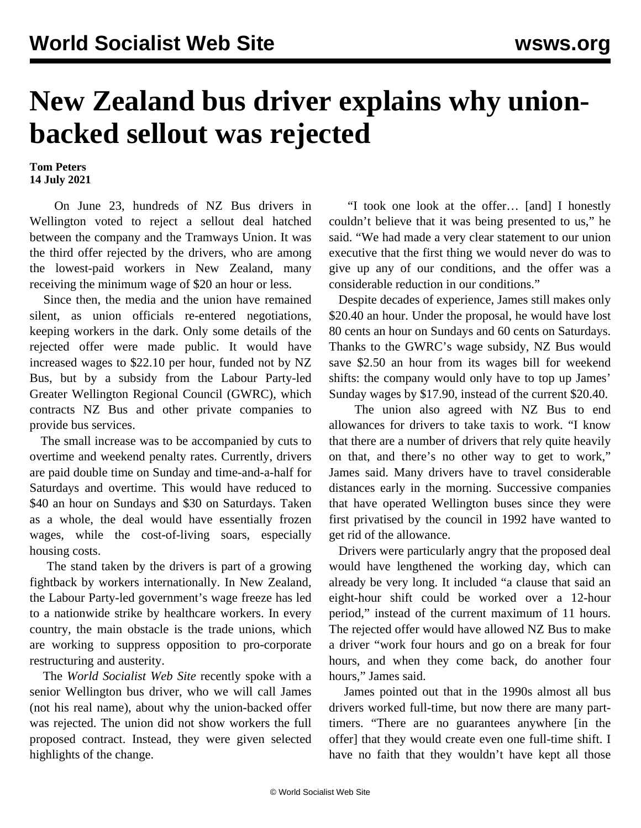## **New Zealand bus driver explains why unionbacked sellout was rejected**

**Tom Peters 14 July 2021**

 On June 23, hundreds of NZ Bus drivers in Wellington voted to reject a [sellout deal](/en/articles/2021/06/24/nzbu-j24.html) hatched between the company and the Tramways Union. It was the third offer rejected by the drivers, who are among the lowest-paid workers in New Zealand, many receiving the minimum wage of \$20 an hour or less.

 Since then, the media and the union have remained silent, as union officials re-entered negotiations, keeping workers in the dark. Only some details of the rejected offer were made public. It would have increased wages to \$22.10 per hour, funded not by NZ Bus, but by a subsidy from the Labour Party-led Greater Wellington Regional Council (GWRC), which contracts NZ Bus and other private companies to provide bus services.

 The small increase was to be accompanied by cuts to overtime and weekend penalty rates. Currently, drivers are paid double time on Sunday and time-and-a-half for Saturdays and overtime. This would have reduced to \$40 an hour on Sundays and \$30 on Saturdays. Taken as a whole, the deal would have essentially frozen wages, while the cost-of-living soars, especially housing costs.

 The stand taken by the drivers is part of a growing fightback by workers internationally. In New Zealand, the Labour Party-led government's wage freeze has led to a nationwide strike by [healthcare workers](/en/articles/2021/07/14/nurs-j14.html). In every country, the main obstacle is the trade unions, which are working to suppress opposition to pro-corporate restructuring and austerity.

 The *World Socialist Web Site* recently spoke with a senior Wellington bus driver, who we will call James (not his real name), about why the union-backed offer was rejected. The union did not show workers the full proposed contract. Instead, they were given selected highlights of the change.

 "I took one look at the offer… [and] I honestly couldn't believe that it was being presented to us," he said. "We had made a very clear statement to our union executive that the first thing we would never do was to give up any of our conditions, and the offer was a considerable reduction in our conditions."

 Despite decades of experience, James still makes only \$20.40 an hour. Under the proposal, he would have lost 80 cents an hour on Sundays and 60 cents on Saturdays. Thanks to the GWRC's wage subsidy, NZ Bus would save \$2.50 an hour from its wages bill for weekend shifts: the company would only have to top up James' Sunday wages by \$17.90, instead of the current \$20.40.

 The union also agreed with NZ Bus to end allowances for drivers to take taxis to work. "I know that there are a number of drivers that rely quite heavily on that, and there's no other way to get to work," James said. Many drivers have to travel considerable distances early in the morning. Successive companies that have operated Wellington buses since they were first privatised by the council in 1992 have wanted to get rid of the allowance.

 Drivers were particularly angry that the proposed deal would have lengthened the working day, which can already be very long. It included "a clause that said an eight-hour shift could be worked over a 12-hour period," instead of the current maximum of 11 hours. The rejected offer would have allowed NZ Bus to make a driver "work four hours and go on a break for four hours, and when they come back, do another four hours," James said.

 James pointed out that in the 1990s almost all bus drivers worked full-time, but now there are many parttimers. "There are no guarantees anywhere [in the offer] that they would create even one full-time shift. I have no faith that they wouldn't have kept all those